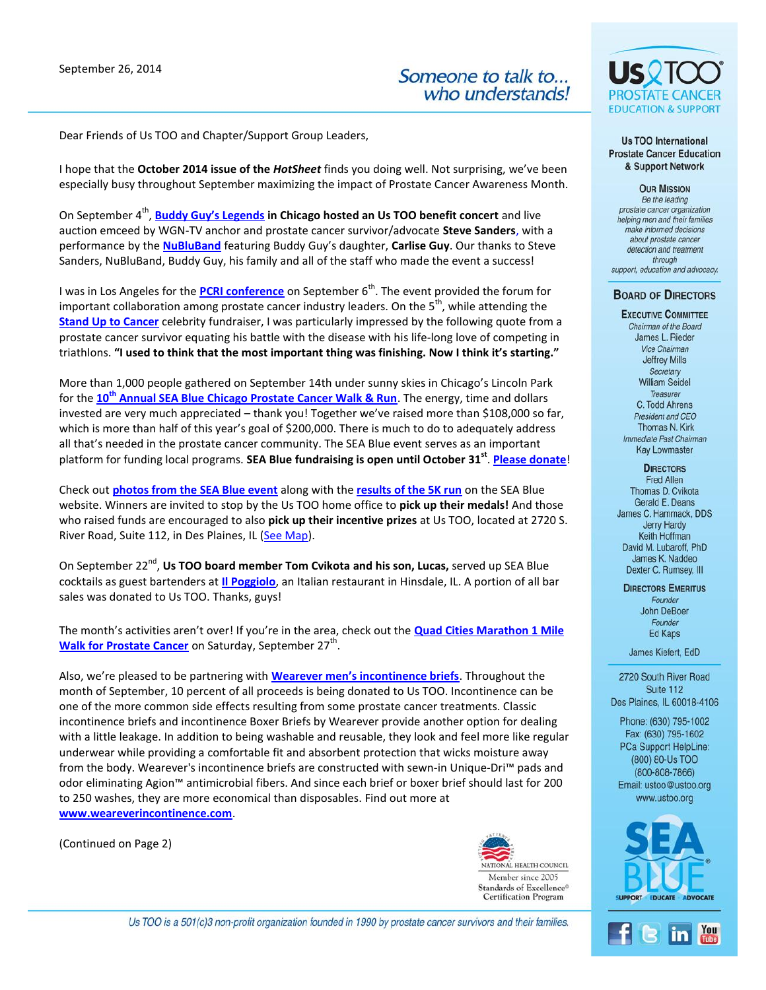September 26, 2014



Dear Friends of Us TOO and Chapter/Support Group Leaders,

I hope that the **October 2014 issue of the** *HotSheet* finds you doing well. Not surprising, we've been especially busy throughout September maximizing the impact of Prostate Cancer Awareness Month.

On September 4<sup>th</sup>, **[Buddy Guy's Legends](http://www.buddyguy.com/) in Chicago hosted an Us TOO benefit concert** and live auction emceed by WGN-TV anchor and prostate cancer survivor/advocate **Steve Sanders**, with a performance by the **[NuBluBand](http://www.nubluband.com/home/content.cfm?content=t_template&packet=1)** featuring Buddy Guy's daughter, **Carlise Guy**. Our thanks to Steve Sanders, NuBluBand, Buddy Guy, his family and all of the staff who made the event a success!

I was in Los Angeles for the **[PCRI conference](http://prostate-cancer.org/events-calendar/conference-2014/)** on September 6<sup>th</sup>. The event provided the forum for important collaboration among prostate cancer industry leaders. On the  $5<sup>th</sup>$ , while attending the **[Stand Up to Cancer](http://www.standup2cancer.org/)** celebrity fundraiser, I was particularly impressed by the following quote from a prostate cancer survivor equating his battle with the disease with his life-long love of competing in triathlons. **"I used to think that the most important thing was finishing. Now I think it's starting."**

More than 1,000 people gathered on September 14th under sunny skies in Chicago's Lincoln Park for the **10th [Annual SEA Blue Chicago Prostate Cancer Walk & Run](http://www.ustooevents.org/site/PageServer?pagename=Chgo_Splash)**. The energy, time and dollars invested are very much appreciated – thank you! Together we've raised more than \$108,000 so far, which is more than half of this year's goal of \$200,000. There is much to do to adequately address all that's needed in the prostate cancer community. The SEA Blue event serves as an important platform for funding local programs. **SEA Blue fundraising is open until October 31st** . **[Please donate](http://www.ustooevents.org/site/TR/Events/2013SEABlueRunWalk?pg=pfind&fr_id=1360)**!

Check out **[photos from the SEA Blue event](https://www.facebook.com/SEABlueProstate/photos_stream?ref=page_internal)** along with the **[results of the 5K run](http://www.ustooevents.org/site/PageNavigator/SEABlue2014RaceResults.html)** on the SEA Blue website. Winners are invited to stop by the Us TOO home office to **pick up their medals!** And those who raised funds are encouraged to also **pick up their incentive prizes** at Us TOO, located at 2720 S. River Road, Suite 112, in Des Plaines, IL [\(See Map\)](https://www.google.com/maps/place/2720+S+River+Rd,+Des+Plaines,+IL+60016/@42.003135,-87.8661978,17z/data=!3m1!4b1!4m2!3m1!1s0x880fb63ca61b68f7:0x1d15541cf18f3a74).

On September 22<sup>nd</sup>, Us TOO board member Tom Cvikota and his son, Lucas, served up SEA Blue cocktails as guest bartenders at **[Il Poggiolo](http://www.ilpoggiolohinsdale.com/)**, an Italian restaurant in Hinsdale, IL. A portion of all bar sales was donated to Us TOO. Thanks, guys!

The month's activities aren't over! If you're in the area, check out the **[Quad Cities Marathon 1 Mile](http://qcmarathon.org/races/1-mile-walk-for-prostate-cancer)**  [Walk for Prostate Cancer](http://qcmarathon.org/races/1-mile-walk-for-prostate-cancer) on Saturday, September 27<sup>th</sup>.

Also, we're pleased to be partnering with **[Wearever men's incontinence briefs](http://www.weareverincontinence.com/)**. Throughout the month of September, 10 percent of all proceeds is being donated to Us TOO. Incontinence can be one of the more common side effects resulting from some prostate cancer treatments. Classic incontinence briefs and incontinence Boxer Briefs by Wearever provide another option for dealing with a little leakage. In addition to being washable and reusable, they look and feel more like regular underwear while providing a comfortable fit and absorbent protection that wicks moisture away from the body. Wearever's incontinence briefs are constructed with sewn-in Unique-Dri™ pads and odor eliminating Agion™ antimicrobial fibers. And since each brief or boxer brief should last for 200 to 250 washes, they are more economical than disposables. Find out more at **<www.weareverincontinence.com>**.

(Continued on Page 2)



US0 **EDUCATION & SUPPORT** 

**Us TOO International Prostate Cancer Education** & Support Network

**OUR MISSION** Be the leading prostate cancer organization helping men and their families make informed decisions about prostate cancer detection and treatment through support, education and advocacy.

## **BOARD OF DIRECTORS**

**EXECUTIVE COMMITTEE** Chairman of the Board James L. Rieder Vice Chairman **Jeffrey Mills** Secretary **William Seidel** Treasurer C. Todd Ahrens President and CEO Thomas N. Kirk Immediate Past Chairman **Kay Lowmaster** 

**DIRECTORS** 

Fred Allen Thomas D. Cvikota Gerald E. Deans James C. Hammack, DDS **Jerry Hardy** Keith Hoffman David M. Lubaroff, PhD James K. Naddeo Dexter C. Rumsey, III

**DIRECTORS EMERITUS** Founder John DeBoer Founder Ed Kaps

James Kiefert, EdD

2720 South River Road Suite 112 Des Plaines, IL 60018-4106

Phone: (630) 795-1002 Fax: (630) 795-1602 PCa Support HelpLine: (800) 80-Us TOO  $(800 - 808 - 7866)$ Email: ustoo@ustoo.org www.ustoo.org





Us TOO is a 501(c)3 non-profit organization founded in 1990 by prostate cancer survivors and their families.